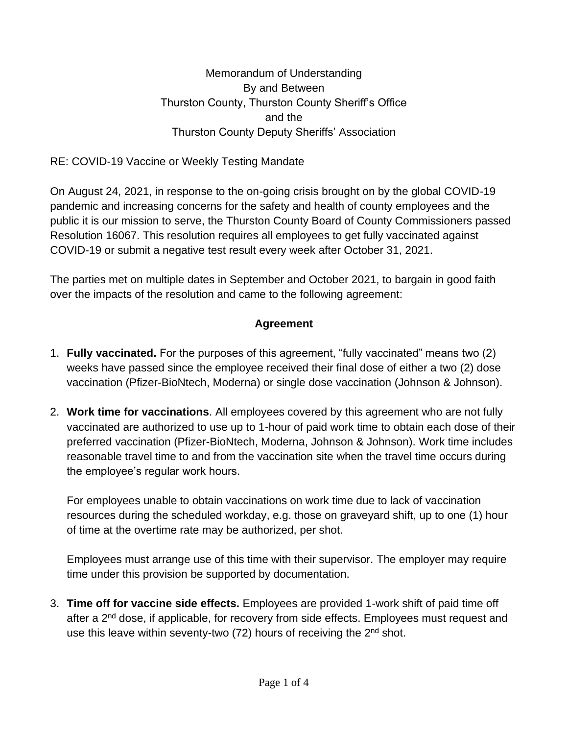Memorandum of Understanding By and Between Thurston County, Thurston County Sheriff's Office and the Thurston County Deputy Sheriffs' Association

RE: COVID-19 Vaccine or Weekly Testing Mandate

On August 24, 2021, in response to the on-going crisis brought on by the global COVID-19 pandemic and increasing concerns for the safety and health of county employees and the public it is our mission to serve, the Thurston County Board of County Commissioners passed Resolution 16067. This resolution requires all employees to get fully vaccinated against COVID-19 or submit a negative test result every week after October 31, 2021.

The parties met on multiple dates in September and October 2021, to bargain in good faith over the impacts of the resolution and came to the following agreement:

## **Agreement**

- 1. **Fully vaccinated.** For the purposes of this agreement, "fully vaccinated" means two (2) weeks have passed since the employee received their final dose of either a two (2) dose vaccination (Pfizer-BioNtech, Moderna) or single dose vaccination (Johnson & Johnson).
- 2. **Work time for vaccinations**. All employees covered by this agreement who are not fully vaccinated are authorized to use up to 1-hour of paid work time to obtain each dose of their preferred vaccination (Pfizer-BioNtech, Moderna, Johnson & Johnson). Work time includes reasonable travel time to and from the vaccination site when the travel time occurs during the employee's regular work hours.

For employees unable to obtain vaccinations on work time due to lack of vaccination resources during the scheduled workday, e.g. those on graveyard shift, up to one (1) hour of time at the overtime rate may be authorized, per shot.

Employees must arrange use of this time with their supervisor. The employer may require time under this provision be supported by documentation.

3. **Time off for vaccine side effects.** Employees are provided 1-work shift of paid time off after a 2<sup>nd</sup> dose, if applicable, for recovery from side effects. Employees must request and use this leave within seventy-two (72) hours of receiving the 2<sup>nd</sup> shot.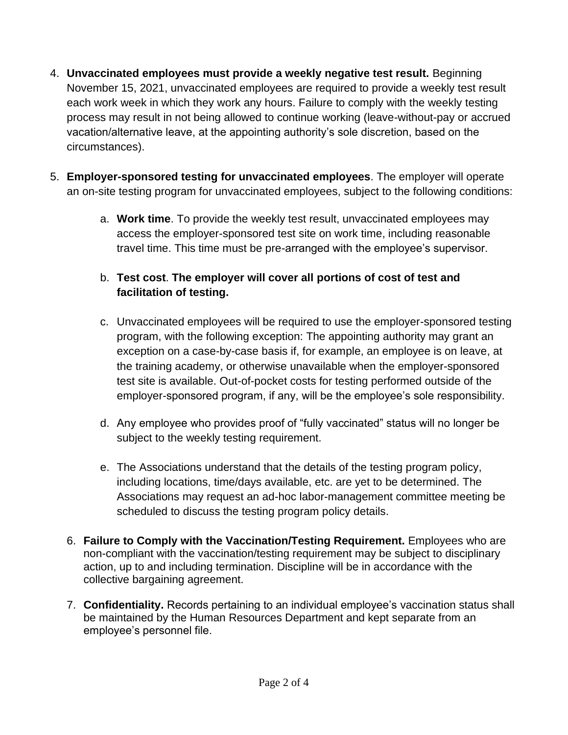- 4. **Unvaccinated employees must provide a weekly negative test result.** Beginning November 15, 2021, unvaccinated employees are required to provide a weekly test result each work week in which they work any hours. Failure to comply with the weekly testing process may result in not being allowed to continue working (leave-without-pay or accrued vacation/alternative leave, at the appointing authority's sole discretion, based on the circumstances).
- 5. **Employer-sponsored testing for unvaccinated employees**. The employer will operate an on-site testing program for unvaccinated employees, subject to the following conditions:
	- a. **Work time**. To provide the weekly test result, unvaccinated employees may access the employer-sponsored test site on work time, including reasonable travel time. This time must be pre-arranged with the employee's supervisor.
	- b. **Test cost**. **The employer will cover all portions of cost of test and facilitation of testing.**
	- c. Unvaccinated employees will be required to use the employer-sponsored testing program, with the following exception: The appointing authority may grant an exception on a case-by-case basis if, for example, an employee is on leave, at the training academy, or otherwise unavailable when the employer-sponsored test site is available. Out-of-pocket costs for testing performed outside of the employer-sponsored program, if any, will be the employee's sole responsibility.
	- d. Any employee who provides proof of "fully vaccinated" status will no longer be subject to the weekly testing requirement.
	- e. The Associations understand that the details of the testing program policy, including locations, time/days available, etc. are yet to be determined. The Associations may request an ad-hoc labor-management committee meeting be scheduled to discuss the testing program policy details.
	- 6. **Failure to Comply with the Vaccination/Testing Requirement.** Employees who are non-compliant with the vaccination/testing requirement may be subject to disciplinary action, up to and including termination. Discipline will be in accordance with the collective bargaining agreement.
	- 7. **Confidentiality.** Records pertaining to an individual employee's vaccination status shall be maintained by the Human Resources Department and kept separate from an employee's personnel file.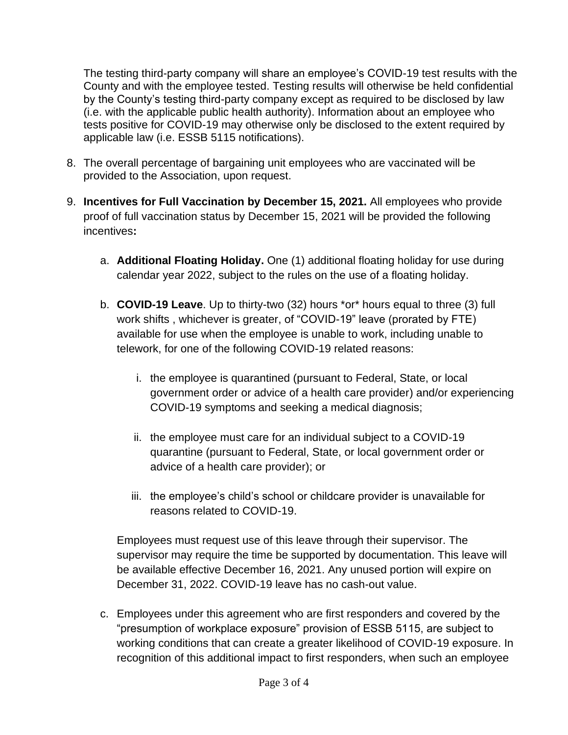The testing third-party company will share an employee's COVID-19 test results with the County and with the employee tested. Testing results will otherwise be held confidential by the County's testing third-party company except as required to be disclosed by law (i.e. with the applicable public health authority). Information about an employee who tests positive for COVID-19 may otherwise only be disclosed to the extent required by applicable law (i.e. ESSB 5115 notifications).

- 8. The overall percentage of bargaining unit employees who are vaccinated will be provided to the Association, upon request.
- 9. **Incentives for Full Vaccination by December 15, 2021.** All employees who provide proof of full vaccination status by December 15, 2021 will be provided the following incentives**:** 
	- a. **Additional Floating Holiday.** One (1) additional floating holiday for use during calendar year 2022, subject to the rules on the use of a floating holiday.
	- b. **COVID-19 Leave**. Up to thirty-two (32) hours \*or\* hours equal to three (3) full work shifts , whichever is greater, of "COVID-19" leave (prorated by FTE) available for use when the employee is unable to work, including unable to telework, for one of the following COVID-19 related reasons:
		- i. the employee is quarantined (pursuant to Federal, State, or local government order or advice of a health care provider) and/or experiencing COVID-19 symptoms and seeking a medical diagnosis;
		- ii. the employee must care for an individual subject to a COVID-19 quarantine (pursuant to Federal, State, or local government order or advice of a health care provider); or
		- iii. the employee's child's school or childcare provider is unavailable for reasons related to COVID-19.

Employees must request use of this leave through their supervisor. The supervisor may require the time be supported by documentation. This leave will be available effective December 16, 2021. Any unused portion will expire on December 31, 2022. COVID-19 leave has no cash-out value.

c. Employees under this agreement who are first responders and covered by the "presumption of workplace exposure" provision of ESSB 5115, are subject to working conditions that can create a greater likelihood of COVID-19 exposure. In recognition of this additional impact to first responders, when such an employee